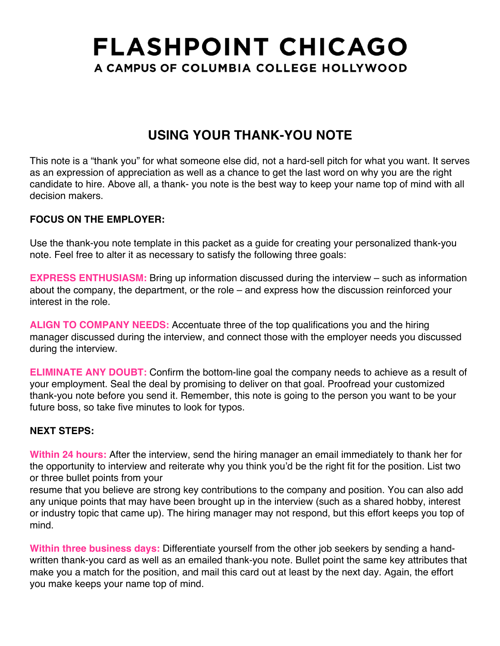# **FLASHPOINT CHICAGO** A CAMPUS OF COLUMBIA COLLEGE HOLLYWOOD

### **USING YOUR THANK-YOU NOTE**

This note is a "thank you" for what someone else did, not a hard-sell pitch for what you want. It serves as an expression of appreciation as well as a chance to get the last word on why you are the right candidate to hire. Above all, a thank- you note is the best way to keep your name top of mind with all decision makers.

#### **FOCUS ON THE EMPLOYER:**

Use the thank-you note template in this packet as a guide for creating your personalized thank-you note. Feel free to alter it as necessary to satisfy the following three goals:

**EXPRESS ENTHUSIASM:** Bring up information discussed during the interview – such as information about the company, the department, or the role – and express how the discussion reinforced your interest in the role.

**ALIGN TO COMPANY NEEDS:** Accentuate three of the top qualifications you and the hiring manager discussed during the interview, and connect those with the employer needs you discussed during the interview.

**ELIMINATE ANY DOUBT:** Confirm the bottom-line goal the company needs to achieve as a result of your employment. Seal the deal by promising to deliver on that goal. Proofread your customized thank-you note before you send it. Remember, this note is going to the person you want to be your future boss, so take five minutes to look for typos.

#### **NEXT STEPS:**

**Within 24 hours:** After the interview, send the hiring manager an email immediately to thank her for the opportunity to interview and reiterate why you think you'd be the right fit for the position. List two or three bullet points from your

resume that you believe are strong key contributions to the company and position. You can also add any unique points that may have been brought up in the interview (such as a shared hobby, interest or industry topic that came up). The hiring manager may not respond, but this effort keeps you top of mind.

**Within three business days:** Differentiate yourself from the other job seekers by sending a handwritten thank-you card as well as an emailed thank-you note. Bullet point the same key attributes that make you a match for the position, and mail this card out at least by the next day. Again, the effort you make keeps your name top of mind.